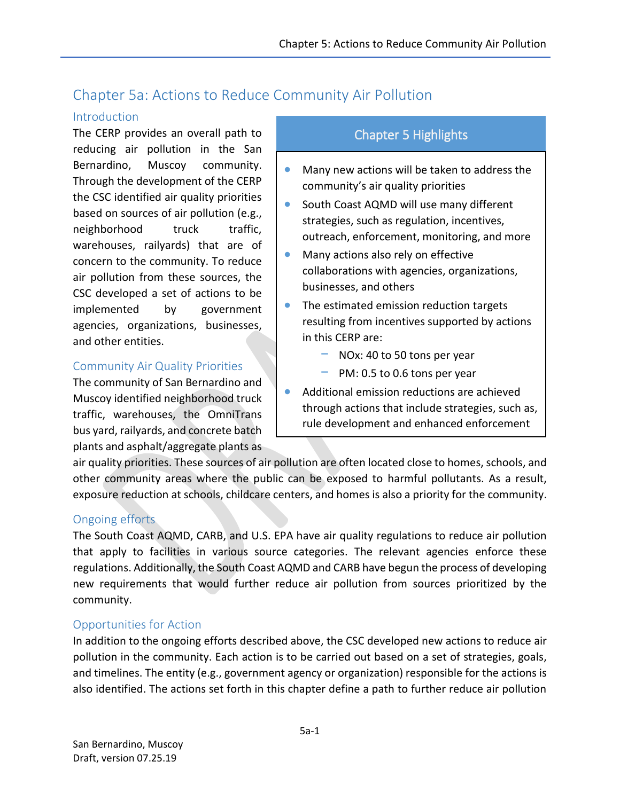# Chapter 5a: Actions to Reduce Community Air Pollution

### Introduction

The CERP provides an overall path to reducing air pollution in the San Bernardino, Muscoy community. Through the development of the CERP the CSC identified air quality priorities based on sources of air pollution (e.g., neighborhood truck traffic, warehouses, railyards) that are of concern to the community. To reduce air pollution from these sources, the CSC developed a set of actions to be implemented by government agencies, organizations, businesses, and other entities.

### Community Air Quality Priorities

The community of San Bernardino and Muscoy identified neighborhood truck traffic, warehouses, the OmniTrans bus yard, railyards, and concrete batch plants and asphalt/aggregate plants as

## Chapter 5 Highlights

- Many new actions will be taken to address the community's air quality priorities
- South Coast AQMD will use many different strategies, such as regulation, incentives, outreach, enforcement, monitoring, and more
- Many actions also rely on effective collaborations with agencies, organizations, businesses, and others
- The estimated emission reduction targets resulting from incentives supported by actions in this CERP are:
	- − NOx: 40 to 50 tons per year
	- − PM: 0.5 to 0.6 tons per year
- Additional emission reductions are achieved through actions that include strategies, such as, rule development and enhanced enforcement

air quality priorities. These sources of air pollution are often located close to homes, schools, and other community areas where the public can be exposed to harmful pollutants. As a result, exposure reduction at schools, childcare centers, and homes is also a priority for the community.

### Ongoing efforts

The South Coast AQMD, CARB, and U.S. EPA have air quality regulations to reduce air pollution that apply to facilities in various source categories. The relevant agencies enforce these regulations. Additionally, the South Coast AQMD and CARB have begun the process of developing new requirements that would further reduce air pollution from sources prioritized by the community.

### Opportunities for Action

In addition to the ongoing efforts described above, the CSC developed new actions to reduce air pollution in the community. Each action is to be carried out based on a set of strategies, goals, and timelines. The entity (e.g., government agency or organization) responsible for the actions is also identified. The actions set forth in this chapter define a path to further reduce air pollution